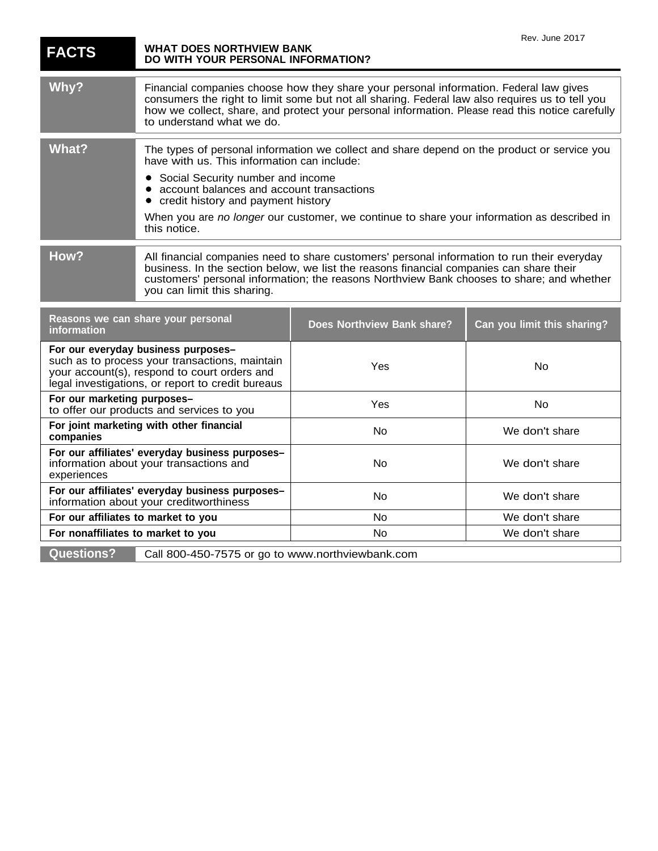| <b>FACTS</b>                                                                                                                                                                               | <b>WHAT DOES NORTHVIEW BANK</b><br>DO WITH YOUR PERSONAL INFORMATION?                                                                                                                                                                                                                                                                                                                         |                                   | Rev. June 2017              |
|--------------------------------------------------------------------------------------------------------------------------------------------------------------------------------------------|-----------------------------------------------------------------------------------------------------------------------------------------------------------------------------------------------------------------------------------------------------------------------------------------------------------------------------------------------------------------------------------------------|-----------------------------------|-----------------------------|
| Why?                                                                                                                                                                                       | Financial companies choose how they share your personal information. Federal law gives<br>consumers the right to limit some but not all sharing. Federal law also requires us to tell you<br>how we collect, share, and protect your personal information. Please read this notice carefully<br>to understand what we do.                                                                     |                                   |                             |
| <b>What?</b>                                                                                                                                                                               | The types of personal information we collect and share depend on the product or service you<br>have with us. This information can include:<br>Social Security number and income<br>$\bullet$<br>account balances and account transactions<br>credit history and payment history<br>When you are no longer our customer, we continue to share your information as described in<br>this notice. |                                   |                             |
| How?                                                                                                                                                                                       | All financial companies need to share customers' personal information to run their everyday<br>business. In the section below, we list the reasons financial companies can share their<br>customers' personal information; the reasons Northview Bank chooses to share; and whether<br>you can limit this sharing.                                                                            |                                   |                             |
| Reasons we can share your personal<br>information                                                                                                                                          |                                                                                                                                                                                                                                                                                                                                                                                               | <b>Does Northview Bank share?</b> | Can you limit this sharing? |
| For our everyday business purposes-<br>such as to process your transactions, maintain<br>your account(s), respond to court orders and<br>legal investigations, or report to credit bureaus |                                                                                                                                                                                                                                                                                                                                                                                               | Yes                               | No                          |
| For our marketing purposes-<br>to offer our products and services to you                                                                                                                   |                                                                                                                                                                                                                                                                                                                                                                                               | Yes                               | No                          |
| For joint marketing with other financial<br>companies                                                                                                                                      |                                                                                                                                                                                                                                                                                                                                                                                               | No                                | We don't share              |
| For our affiliates' everyday business purposes-<br>information about your transactions and<br>experiences                                                                                  |                                                                                                                                                                                                                                                                                                                                                                                               | No                                | We don't share              |
| For our affiliates' everyday business purposes-<br>information about your creditworthiness                                                                                                 |                                                                                                                                                                                                                                                                                                                                                                                               | No.                               | We don't share              |
| For our affiliates to market to you                                                                                                                                                        |                                                                                                                                                                                                                                                                                                                                                                                               | <b>No</b>                         | We don't share              |
| For nonaffiliates to market to you                                                                                                                                                         |                                                                                                                                                                                                                                                                                                                                                                                               | <b>No</b>                         | We don't share              |
| <b>Questions?</b>                                                                                                                                                                          | Call 800-450-7575 or go to www.northviewbank.com                                                                                                                                                                                                                                                                                                                                              |                                   |                             |